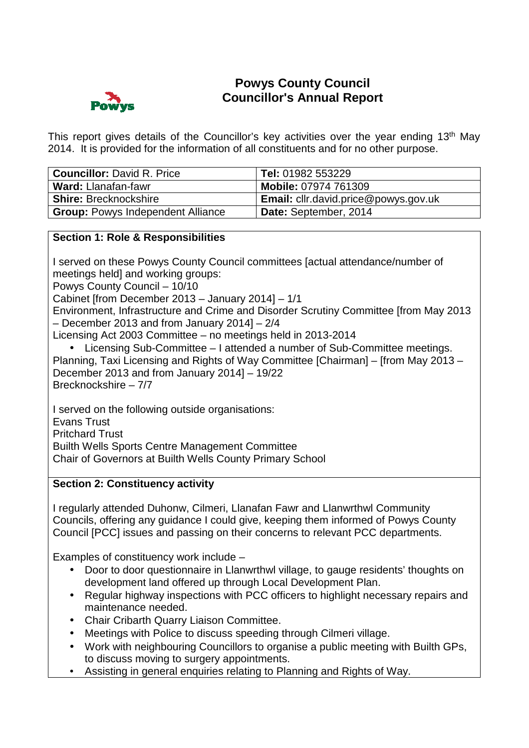

# **Powys County Council Councillor's Annual Report**

This report gives details of the Councillor's key activities over the vear ending 13<sup>th</sup> May 2014. It is provided for the information of all constituents and for no other purpose.

| <b>Councillor: David R. Price</b>        | Tel: 01982 553229                           |
|------------------------------------------|---------------------------------------------|
| <b>Ward: Llanafan-fawr</b>               | <b>Mobile: 07974 761309</b>                 |
| <b>Shire: Brecknockshire</b>             | <b>Email:</b> cllr.david.price@powys.gov.uk |
| <b>Group: Powys Independent Alliance</b> | Date: September, 2014                       |

## **Section 1: Role & Responsibilities**

I served on these Powys County Council committees [actual attendance/number of meetings held] and working groups:

Powys County Council – 10/10

Cabinet [from December 2013 – January 2014] – 1/1

Environment, Infrastructure and Crime and Disorder Scrutiny Committee [from May 2013 – December 2013 and from January 2014] – 2/4

Licensing Act 2003 Committee – no meetings held in 2013-2014

• Licensing Sub-Committee – I attended a number of Sub-Committee meetings. Planning, Taxi Licensing and Rights of Way Committee [Chairman] – [from May 2013 – December 2013 and from January 2014] – 19/22 Brecknockshire – 7/7

I served on the following outside organisations: Evans Trust Pritchard Trust Builth Wells Sports Centre Management Committee Chair of Governors at Builth Wells County Primary School

## **Section 2: Constituency activity**

I regularly attended Duhonw, Cilmeri, Llanafan Fawr and Llanwrthwl Community Councils, offering any guidance I could give, keeping them informed of Powys County Council [PCC] issues and passing on their concerns to relevant PCC departments.

Examples of constituency work include –

- Door to door questionnaire in Llanwrthwl village, to gauge residents' thoughts on development land offered up through Local Development Plan.
- Regular highway inspections with PCC officers to highlight necessary repairs and maintenance needed.
- Chair Cribarth Quarry Liaison Committee.
- Meetings with Police to discuss speeding through Cilmeri village.
- Work with neighbouring Councillors to organise a public meeting with Builth GPs, to discuss moving to surgery appointments.
- Assisting in general enquiries relating to Planning and Rights of Way.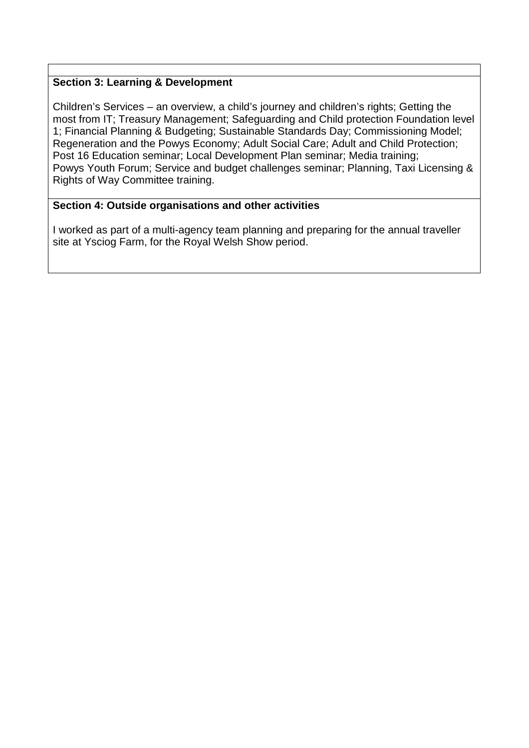## **Section 3: Learning & Development**

Children's Services – an overview, a child's journey and children's rights; Getting the most from IT; Treasury Management; Safeguarding and Child protection Foundation level 1; Financial Planning & Budgeting; Sustainable Standards Day; Commissioning Model; Regeneration and the Powys Economy; Adult Social Care; Adult and Child Protection; Post 16 Education seminar; Local Development Plan seminar; Media training; Powys Youth Forum; Service and budget challenges seminar; Planning, Taxi Licensing & Rights of Way Committee training.

## **Section 4: Outside organisations and other activities**

I worked as part of a multi-agency team planning and preparing for the annual traveller site at Ysciog Farm, for the Royal Welsh Show period.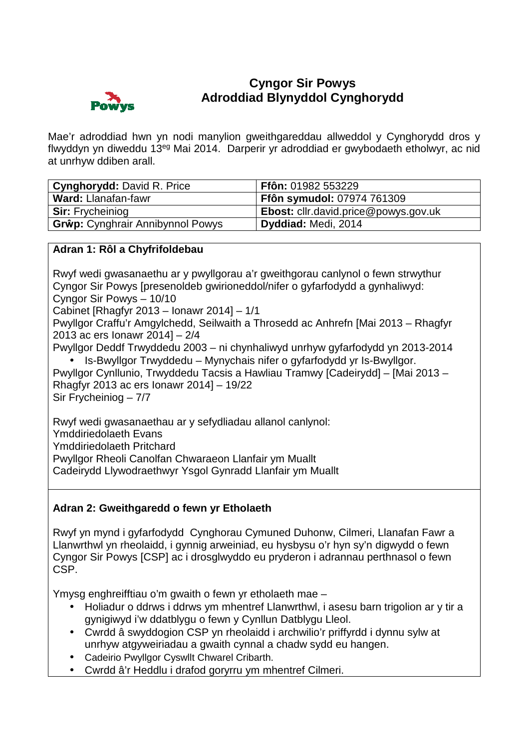

# **Cyngor Sir Powys Adroddiad Blynyddol Cynghorydd**

Mae'r adroddiad hwn yn nodi manylion gweithgareddau allweddol y Cynghorydd dros y flwyddyn yn diweddu 13eg Mai 2014. Darperir yr adroddiad er gwybodaeth etholwyr, ac nid at unrhyw ddiben arall.

| <b>Cynghorydd: David R. Price</b>       | Ffôn: 01982 553229                          |
|-----------------------------------------|---------------------------------------------|
| <b>Ward: Llanafan-fawr</b>              | <b>Ffôn symudol: 07974 761309</b>           |
| <b>Sir:</b> Frycheiniog                 | <b>Ebost:</b> cllr.david.price@powys.gov.uk |
| <b>Grŵp:</b> Cynghrair Annibynnol Powys | Dyddiad: Medi, 2014                         |

## **Adran 1: Rôl a Chyfrifoldebau**

Rwyf wedi gwasanaethu ar y pwyllgorau a'r gweithgorau canlynol o fewn strwythur Cyngor Sir Powys [presenoldeb gwirioneddol/nifer o gyfarfodydd a gynhaliwyd: Cyngor Sir Powys – 10/10

Cabinet [Rhagfyr 2013 – Ionawr 2014] – 1/1

Pwyllgor Craffu'r Amgylchedd, Seilwaith a Throsedd ac Anhrefn [Mai 2013 – Rhagfyr 2013 ac ers Ionawr 2014] – 2/4

Pwyllgor Deddf Trwyddedu 2003 – ni chynhaliwyd unrhyw gyfarfodydd yn 2013-2014 • Is-Bwyllgor Trwyddedu – Mynychais nifer o gyfarfodydd yr Is-Bwyllgor.

Pwyllgor Cynllunio, Trwyddedu Tacsis a Hawliau Tramwy [Cadeirydd] – [Mai 2013 – Rhagfyr 2013 ac ers Ionawr 2014] – 19/22 Sir Frycheiniog – 7/7

Rwyf wedi gwasanaethau ar y sefydliadau allanol canlynol:

Ymddiriedolaeth Evans

Ymddiriedolaeth Pritchard

Pwyllgor Rheoli Canolfan Chwaraeon Llanfair ym Muallt

Cadeirydd Llywodraethwyr Ysgol Gynradd Llanfair ym Muallt

## **Adran 2: Gweithgaredd o fewn yr Etholaeth**

Rwyf yn mynd i gyfarfodydd Cynghorau Cymuned Duhonw, Cilmeri, Llanafan Fawr a Llanwrthwl yn rheolaidd, i gynnig arweiniad, eu hysbysu o'r hyn sy'n digwydd o fewn Cyngor Sir Powys [CSP] ac i drosglwyddo eu pryderon i adrannau perthnasol o fewn CSP.

Ymysg enghreifftiau o'm gwaith o fewn yr etholaeth mae –

- Holiadur o ddrws i ddrws ym mhentref Llanwrthwl, i asesu barn trigolion ar y tir a gynigiwyd i'w ddatblygu o fewn y Cynllun Datblygu Lleol.
- Cwrdd â swyddogion CSP yn rheolaidd i archwilio'r priffyrdd i dynnu sylw at unrhyw atgyweiriadau a gwaith cynnal a chadw sydd eu hangen.
- Cadeirio Pwyllgor Cyswllt Chwarel Cribarth.
- Cwrdd â'r Heddlu i drafod goryrru ym mhentref Cilmeri.